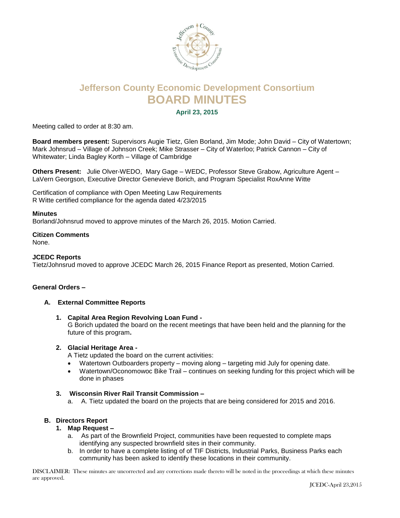

# **Jefferson County Economic Development Consortium BOARD MINUTES**

**April 23, 2015**

Meeting called to order at 8:30 am.

**Board members present:** Supervisors Augie Tietz, Glen Borland, Jim Mode; John David – City of Watertown; Mark Johnsrud – Village of Johnson Creek; Mike Strasser – City of Waterloo; Patrick Cannon – City of Whitewater; Linda Bagley Korth – Village of Cambridge

**Others Present:** Julie Olver-WEDO, Mary Gage – WEDC, Professor Steve Grabow, Agriculture Agent – LaVern Georgson, Executive Director Genevieve Borich, and Program Specialist RoxAnne Witte

Certification of compliance with Open Meeting Law Requirements R Witte certified compliance for the agenda dated 4/23/2015

#### **Minutes**

Borland/Johnsrud moved to approve minutes of the March 26, 2015. Motion Carried.

## **Citizen Comments**

None.

#### **JCEDC Reports**

Tietz/Johnsrud moved to approve JCEDC March 26, 2015 Finance Report as presented, Motion Carried.

## **General Orders –**

## **A. External Committee Reports**

**1. Capital Area Region Revolving Loan Fund -**

G Borich updated the board on the recent meetings that have been held and the planning for the future of this program**.**

## **2. Glacial Heritage Area -**

A Tietz updated the board on the current activities:

- Watertown Outboarders property moving along targeting mid July for opening date.
- Watertown/Oconomowoc Bike Trail continues on seeking funding for this project which will be done in phases

## **3. Wisconsin River Rail Transit Commission –**

a. A. Tietz updated the board on the projects that are being considered for 2015 and 2016.

## **B. Directors Report**

- **1. Map Request –**
	- a. As part of the Brownfield Project, communities have been requested to complete maps identifying any suspected brownfield sites in their community.
	- b. In order to have a complete listing of of TIF Districts, Industrial Parks, Business Parks each community has been asked to identify these locations in their community.

DISCLAIMER: These minutes are uncorrected and any corrections made thereto will be noted in the proceedings at which these minutes are approved.